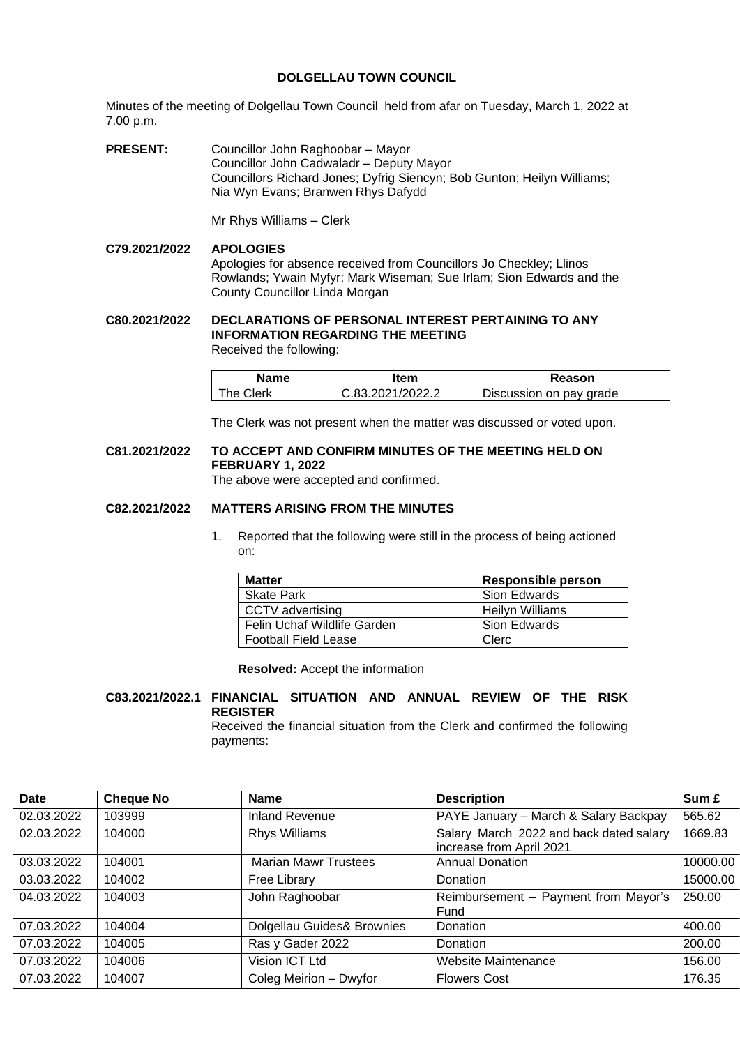## **DOLGELLAU TOWN COUNCIL**

Minutes of the meeting of Dolgellau Town Council held from afar on Tuesday, March 1, 2022 at 7.00 p.m.

**PRESENT:** Councillor John Raghoobar – Mayor Councillor John Cadwaladr – Deputy Mayor Councillors Richard Jones; Dyfrig Siencyn; Bob Gunton; Heilyn Williams; Nia Wyn Evans; Branwen Rhys Dafydd

Mr Rhys Williams – Clerk

**C79.2021/2022 APOLOGIES** Apologies for absence received from Councillors Jo Checkley; Llinos Rowlands; Ywain Myfyr; Mark Wiseman; Sue Irlam; Sion Edwards and the County Councillor Linda Morgan

**C80.2021/2022 DECLARATIONS OF PERSONAL INTEREST PERTAINING TO ANY INFORMATION REGARDING THE MEETING** Received the following:

| Name      | ltem             | Reason                  |
|-----------|------------------|-------------------------|
| The Clerk | C.83.2021/2022.2 | Discussion on pay grade |

The Clerk was not present when the matter was discussed or voted upon.

# **C81.2021/2022 TO ACCEPT AND CONFIRM MINUTES OF THE MEETING HELD ON FEBRUARY 1, 2022**

The above were accepted and confirmed.

#### **C82.2021/2022 MATTERS ARISING FROM THE MINUTES**

1. Reported that the following were still in the process of being actioned on:

| <b>Matter</b>               | Responsible person |
|-----------------------------|--------------------|
| <b>Skate Park</b>           | Sion Edwards       |
| CCTV advertising            | Heilyn Williams    |
| Felin Uchaf Wildlife Garden | Sion Edwards       |
| <b>Football Field Lease</b> | Clerc              |

**Resolved:** Accept the information

# **C83.2021/2022.1 FINANCIAL SITUATION AND ANNUAL REVIEW OF THE RISK REGISTER**

Received the financial situation from the Clerk and confirmed the following payments:

| PAYE January - March & Salary Backpay<br>02.03.2022<br><b>Inland Revenue</b><br>565.62<br>103999<br>Salary March 2022 and back dated salary<br>02.03.2022<br>1669.83<br>104000<br><b>Rhys Williams</b><br>increase from April 2021<br><b>Marian Mawr Trustees</b><br><b>Annual Donation</b><br>10000.00<br>03.03.2022<br>104001<br>15000.00<br>03.03.2022<br>104002<br>Free Library<br>Donation<br>04.03.2022<br>John Raghoobar<br>Reimbursement - Payment from Mayor's<br>250.00<br>104003<br>Fund<br>Dolgellau Guides& Brownies<br>400.00<br>07.03.2022<br>104004<br>Donation<br>Ras y Gader 2022<br>200.00<br>07.03.2022<br>104005<br>Donation<br>Vision ICT Ltd<br><b>Website Maintenance</b><br>07.03.2022<br>104006<br>156.00<br>Coleg Meirion - Dwyfor<br>07.03.2022<br>176.35<br>104007<br><b>Flowers Cost</b> | <b>Date</b> | <b>Cheque No</b> | <b>Name</b> | <b>Description</b> | Sum £ |
|------------------------------------------------------------------------------------------------------------------------------------------------------------------------------------------------------------------------------------------------------------------------------------------------------------------------------------------------------------------------------------------------------------------------------------------------------------------------------------------------------------------------------------------------------------------------------------------------------------------------------------------------------------------------------------------------------------------------------------------------------------------------------------------------------------------------|-------------|------------------|-------------|--------------------|-------|
|                                                                                                                                                                                                                                                                                                                                                                                                                                                                                                                                                                                                                                                                                                                                                                                                                        |             |                  |             |                    |       |
|                                                                                                                                                                                                                                                                                                                                                                                                                                                                                                                                                                                                                                                                                                                                                                                                                        |             |                  |             |                    |       |
|                                                                                                                                                                                                                                                                                                                                                                                                                                                                                                                                                                                                                                                                                                                                                                                                                        |             |                  |             |                    |       |
|                                                                                                                                                                                                                                                                                                                                                                                                                                                                                                                                                                                                                                                                                                                                                                                                                        |             |                  |             |                    |       |
|                                                                                                                                                                                                                                                                                                                                                                                                                                                                                                                                                                                                                                                                                                                                                                                                                        |             |                  |             |                    |       |
|                                                                                                                                                                                                                                                                                                                                                                                                                                                                                                                                                                                                                                                                                                                                                                                                                        |             |                  |             |                    |       |
|                                                                                                                                                                                                                                                                                                                                                                                                                                                                                                                                                                                                                                                                                                                                                                                                                        |             |                  |             |                    |       |
|                                                                                                                                                                                                                                                                                                                                                                                                                                                                                                                                                                                                                                                                                                                                                                                                                        |             |                  |             |                    |       |
|                                                                                                                                                                                                                                                                                                                                                                                                                                                                                                                                                                                                                                                                                                                                                                                                                        |             |                  |             |                    |       |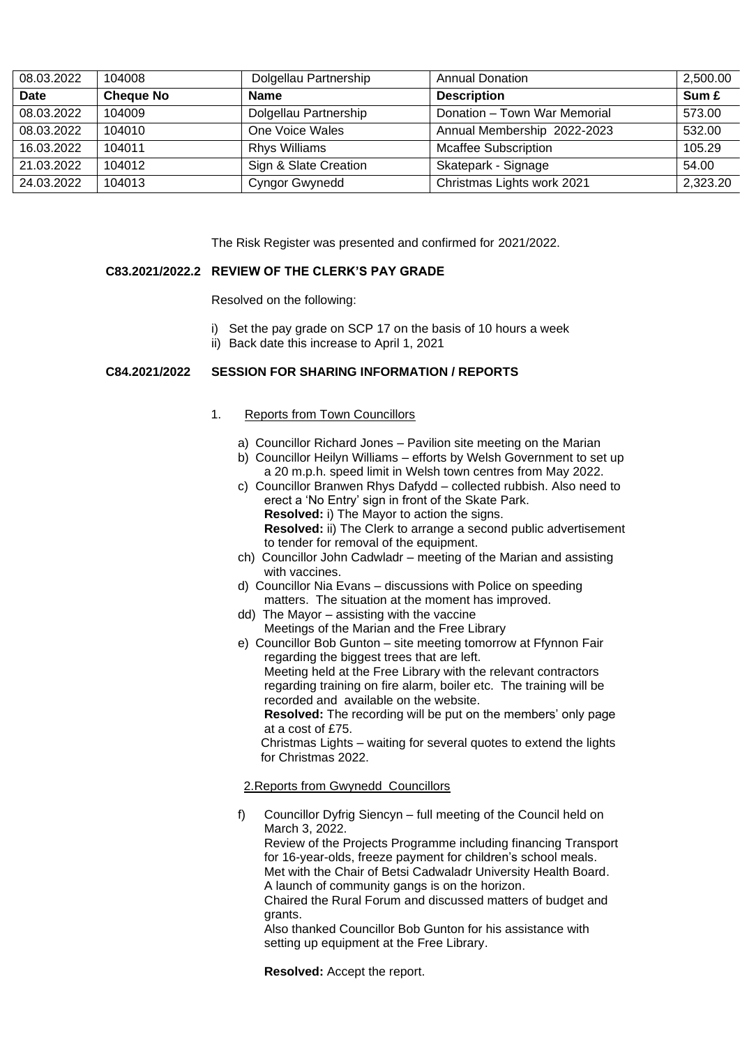| 08.03.2022 | 104008           | Dolgellau Partnership | <b>Annual Donation</b>       | 2,500.00 |
|------------|------------------|-----------------------|------------------------------|----------|
| Date       | <b>Cheque No</b> | <b>Name</b>           | <b>Description</b>           | Sum £    |
| 08.03.2022 | 104009           | Dolgellau Partnership | Donation - Town War Memorial | 573.00   |
| 08.03.2022 | 104010           | One Voice Wales       | Annual Membership 2022-2023  | 532.00   |
| 16.03.2022 | 104011           | <b>Rhys Williams</b>  | <b>Mcaffee Subscription</b>  | 105.29   |
| 21.03.2022 | 104012           | Sign & Slate Creation | Skatepark - Signage          | 54.00    |
| 24.03.2022 | 104013           | <b>Cyngor Gwynedd</b> | Christmas Lights work 2021   | 2,323.20 |

The Risk Register was presented and confirmed for 2021/2022.

#### **C83.2021/2022.2 REVIEW OF THE CLERK'S PAY GRADE**

Resolved on the following:

- i) Set the pay grade on SCP 17 on the basis of 10 hours a week
- ii) Back date this increase to April 1, 2021

#### **C84.2021/2022 SESSION FOR SHARING INFORMATION / REPORTS**

#### 1.Reports from Town Councillors

- a) Councillor Richard Jones Pavilion site meeting on the Marian
- b) Councillor Heilyn Williams efforts by Welsh Government to set up a 20 m.p.h. speed limit in Welsh town centres from May 2022.
- c) Councillor Branwen Rhys Dafydd collected rubbish. Also need to erect a 'No Entry' sign in front of the Skate Park. **Resolved:** i) The Mayor to action the signs. **Resolved:** ii) The Clerk to arrange a second public advertisement to tender for removal of the equipment.
- ch) Councillor John Cadwladr meeting of the Marian and assisting with vaccines.
- d) Councillor Nia Evans discussions with Police on speeding matters. The situation at the moment has improved.
- dd) The Mayor assisting with the vaccine Meetings of the Marian and the Free Library
- e) Councillor Bob Gunton site meeting tomorrow at Ffynnon Fair regarding the biggest trees that are left. Meeting held at the Free Library with the relevant contractors regarding training on fire alarm, boiler etc. The training will be recorded and available on the website. **Resolved:** The recording will be put on the members' only page at a cost of £75. Christmas Lights – waiting for several quotes to extend the lights for Christmas 2022.

#### 2.Reports from Gwynedd Councillors

f) Councillor Dyfrig Siencyn – full meeting of the Council held on March 3, 2022. Review of the Projects Programme including financing Transport for 16-year-olds, freeze payment for children's school meals. Met with the Chair of Betsi Cadwaladr University Health Board. A launch of community gangs is on the horizon. Chaired the Rural Forum and discussed matters of budget and grants. Also thanked Councillor Bob Gunton for his assistance with setting up equipment at the Free Library.

**Resolved:** Accept the report.